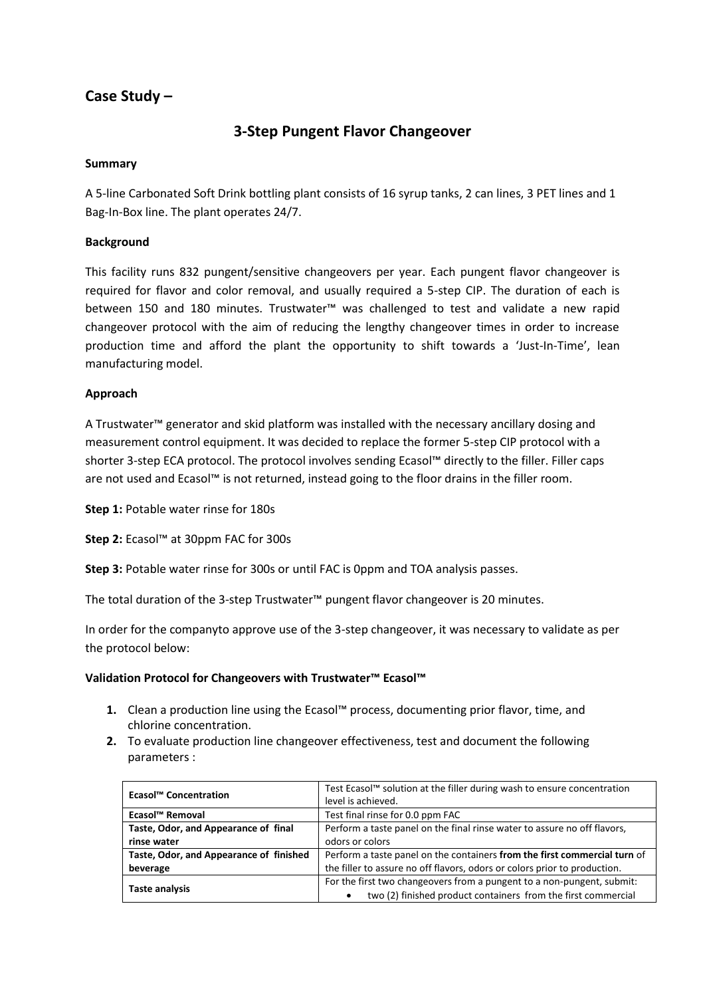# **Case Study –**

## **3-Step Pungent Flavor Changeover**

#### **Summary**

A 5-line Carbonated Soft Drink bottling plant consists of 16 syrup tanks, 2 can lines, 3 PET lines and 1 Bag-In-Box line. The plant operates 24/7.

#### **Background**

This facility runs 832 pungent/sensitive changeovers per year. Each pungent flavor changeover is required for flavor and color removal, and usually required a 5-step CIP. The duration of each is between 150 and 180 minutes. Trustwater™ was challenged to test and validate a new rapid changeover protocol with the aim of reducing the lengthy changeover times in order to increase production time and afford the plant the opportunity to shift towards a 'Just-In-Time', lean manufacturing model.

#### **Approach**

A Trustwater™ generator and skid platform was installed with the necessary ancillary dosing and measurement control equipment. It was decided to replace the former 5-step CIP protocol with a shorter 3-step ECA protocol. The protocol involves sending Ecasol™ directly to the filler. Filler caps are not used and Ecasol™ is not returned, instead going to the floor drains in the filler room.

**Step 1:** Potable water rinse for 180s

**Step 2:** Ecasol™ at 30ppm FAC for 300s

**Step 3:** Potable water rinse for 300s or until FAC is 0ppm and TOA analysis passes.

The total duration of the 3-step Trustwater™ pungent flavor changeover is 20 minutes.

In order for the companyto approve use of the 3-step changeover, it was necessary to validate as per the protocol below:

#### **Validation Protocol for Changeovers with Trustwater™ Ecasol™**

- **1.** Clean a production line using the Ecasol™ process, documenting prior flavor, time, and chlorine concentration.
- **2.** To evaluate production line changeover effectiveness, test and document the following parameters :

| Ecasol™ Concentration                   | Test Ecasol™ solution at the filler during wash to ensure concentration   |
|-----------------------------------------|---------------------------------------------------------------------------|
|                                         | level is achieved.                                                        |
| Ecasol <sup>™</sup> Removal             | Test final rinse for 0.0 ppm FAC                                          |
| Taste, Odor, and Appearance of final    | Perform a taste panel on the final rinse water to assure no off flavors,  |
| rinse water                             | odors or colors                                                           |
| Taste, Odor, and Appearance of finished | Perform a taste panel on the containers from the first commercial turn of |
| beverage                                | the filler to assure no off flavors, odors or colors prior to production. |
| <b>Taste analysis</b>                   | For the first two changeovers from a pungent to a non-pungent, submit:    |
|                                         | two (2) finished product containers from the first commercial             |